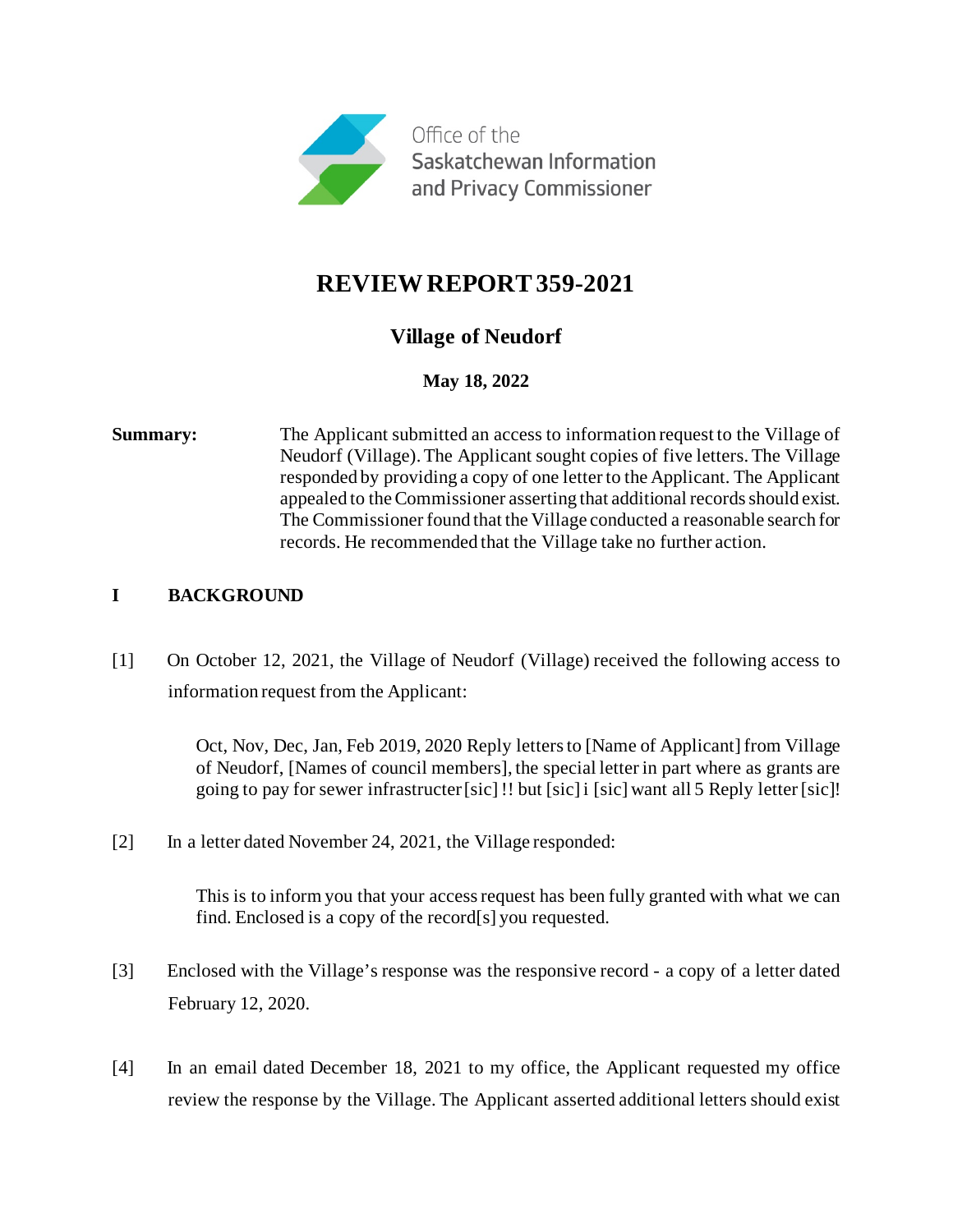

# **REVIEW REPORT 359-2021**

## **Village of Neudorf**

## **May 18, 2022**

**Summary:** The Applicant submitted an access to information request to the Village of Neudorf (Village). The Applicant sought copies of five letters. The Village responded by providing a copy of one letter to the Applicant. The Applicant appealed to the Commissioner asserting that additional records should exist. The Commissioner found that the Village conducted a reasonable search for records. He recommended that the Village take no further action.

## **I BACKGROUND**

[1] On October 12, 2021, the Village of Neudorf (Village) received the following access to information request from the Applicant:

> Oct, Nov, Dec, Jan, Feb 2019, 2020 Reply letters to [Name of Applicant] from Village of Neudorf, [Names of council members], the special letter in part where as grants are going to pay for sewer infrastructer [sic] !! but [sic] i [sic] want all 5 Reply letter [sic]!

[2] In a letter dated November 24, 2021, the Village responded:

This is to inform you that your access request has been fully granted with what we can find. Enclosed is a copy of the record[s] you requested.

- [3] Enclosed with the Village's response was the responsive record a copy of a letter dated February 12, 2020.
- [4] In an email dated December 18, 2021 to my office, the Applicant requested my office review the response by the Village. The Applicant asserted additional letters should exist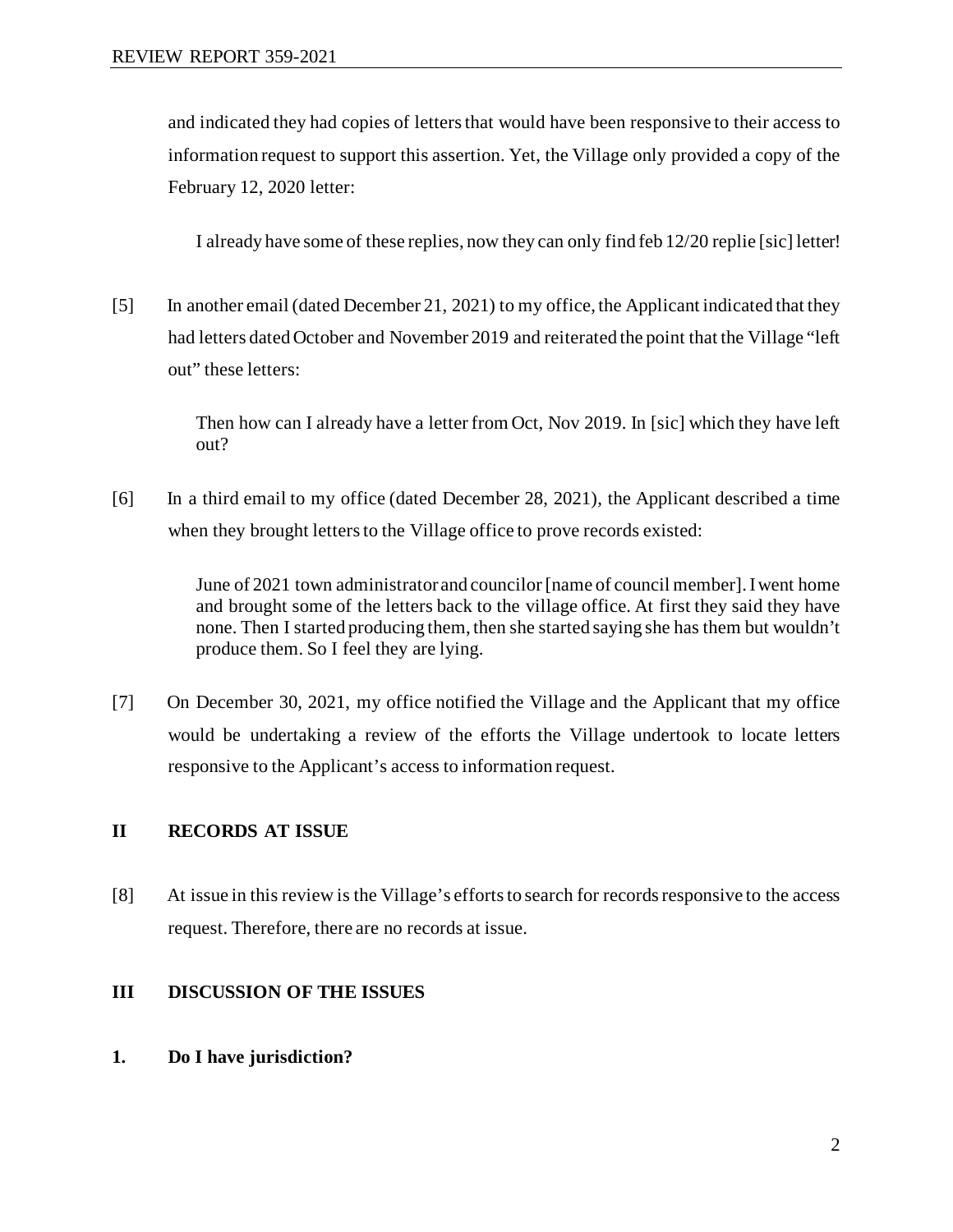and indicated they had copies of letters that would have been responsive to their access to information request to support this assertion. Yet, the Village only provided a copy of the February 12, 2020 letter:

I already have some of these replies, now they can only find feb 12/20 replie [sic] letter!

[5] In another email (dated December 21, 2021) to my office, the Applicant indicated that they had letters dated October and November 2019 and reiterated the point that the Village "left out" these letters:

> Then how can I already have a letter from Oct, Nov 2019. In [sic] which they have left out?

[6] In a third email to my office (dated December 28, 2021), the Applicant described a time when they brought letters to the Village office to prove records existed:

> June of 2021 town administrator and councilor [name of council member]. I went home and brought some of the letters back to the village office. At first they said they have none. Then I started producing them, then she started saying she has them but wouldn't produce them. So I feel they are lying.

[7] On December 30, 2021, my office notified the Village and the Applicant that my office would be undertaking a review of the efforts the Village undertook to locate letters responsive to the Applicant's access to information request.

## **II RECORDS AT ISSUE**

[8] At issue in this review is the Village's efforts to search for records responsive to the access request. Therefore, there are no records at issue.

### **III DISCUSSION OF THE ISSUES**

**1. Do I have jurisdiction?**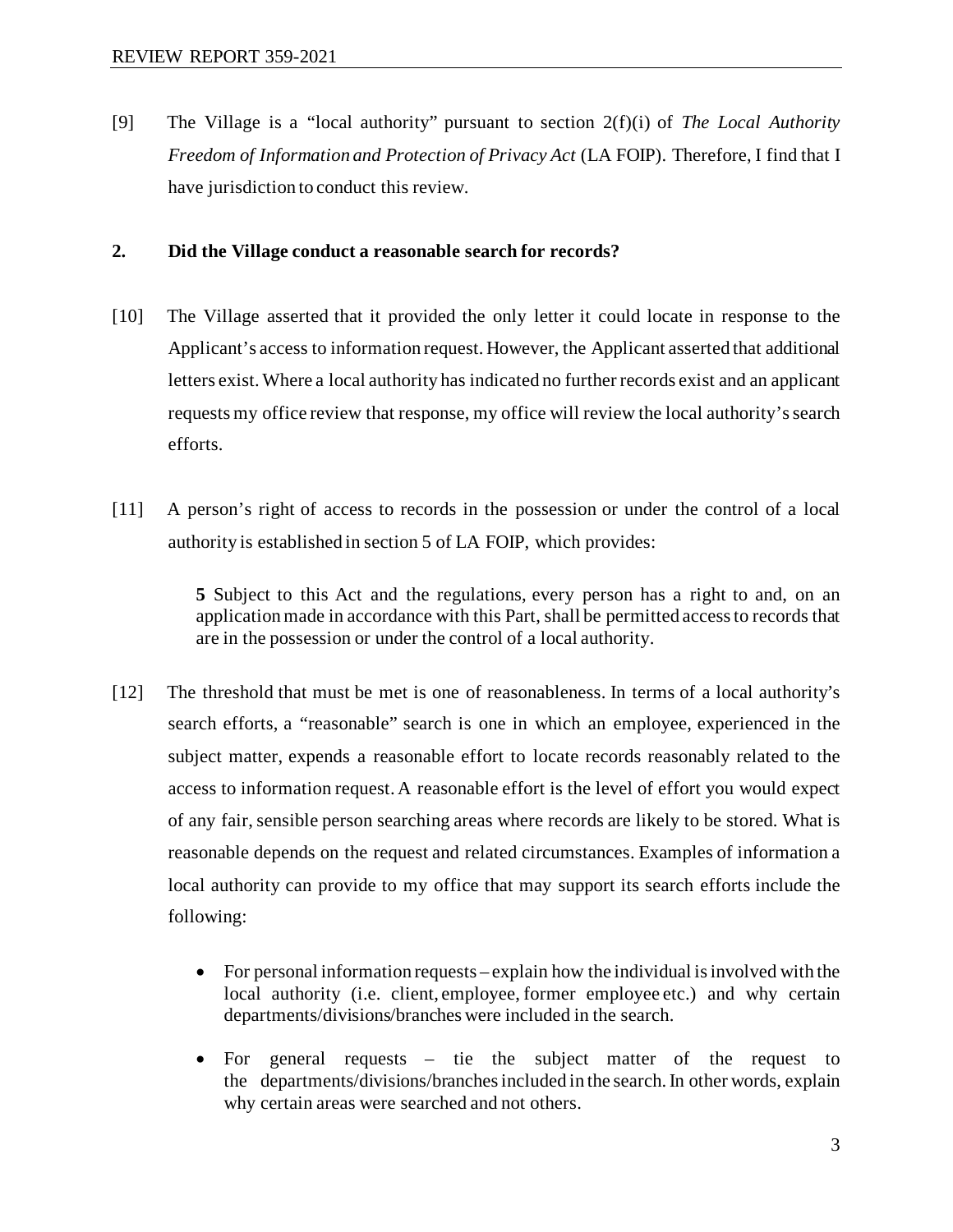[9] The Village is a "local authority" pursuant to section 2(f)(i) of *The Local Authority Freedom of Information and Protection of Privacy Act* (LA FOIP). Therefore, I find that I have jurisdiction to conduct this review.

#### **2. Did the Village conduct a reasonable search for records?**

- [10] The Village asserted that it provided the only letter it could locate in response to the Applicant's access to information request. However, the Applicant asserted that additional letters exist. Where a local authority has indicated no further records exist and an applicant requests my office review that response, my office will review the local authority's search efforts.
- [11] A person's right of access to records in the possession or under the control of a local authority is established in section 5 of LA FOIP, which provides:

**5** Subject to this Act and the regulations, every person has a right to and, on an application made in accordance with this Part, shall be permitted access to records that are in the possession or under the control of a local authority.

- [12] The threshold that must be met is one of reasonableness. In terms of a local authority's search efforts, a "reasonable" search is one in which an employee, experienced in the subject matter, expends a reasonable effort to locate records reasonably related to the access to information request. A reasonable effort is the level of effort you would expect of any fair, sensible person searching areas where records are likely to be stored. What is reasonable depends on the request and related circumstances. Examples of information a local authority can provide to my office that may support its search efforts include the following:
	- For personal information requests explain how the individual is involved with the local authority (i.e. client, employee, former employee etc.) and why certain departments/divisions/branches were included in the search.
	- For general requests tie the subject matter of the request to the departments/divisions/branches included in the search.In other words, explain why certain areas were searched and not others.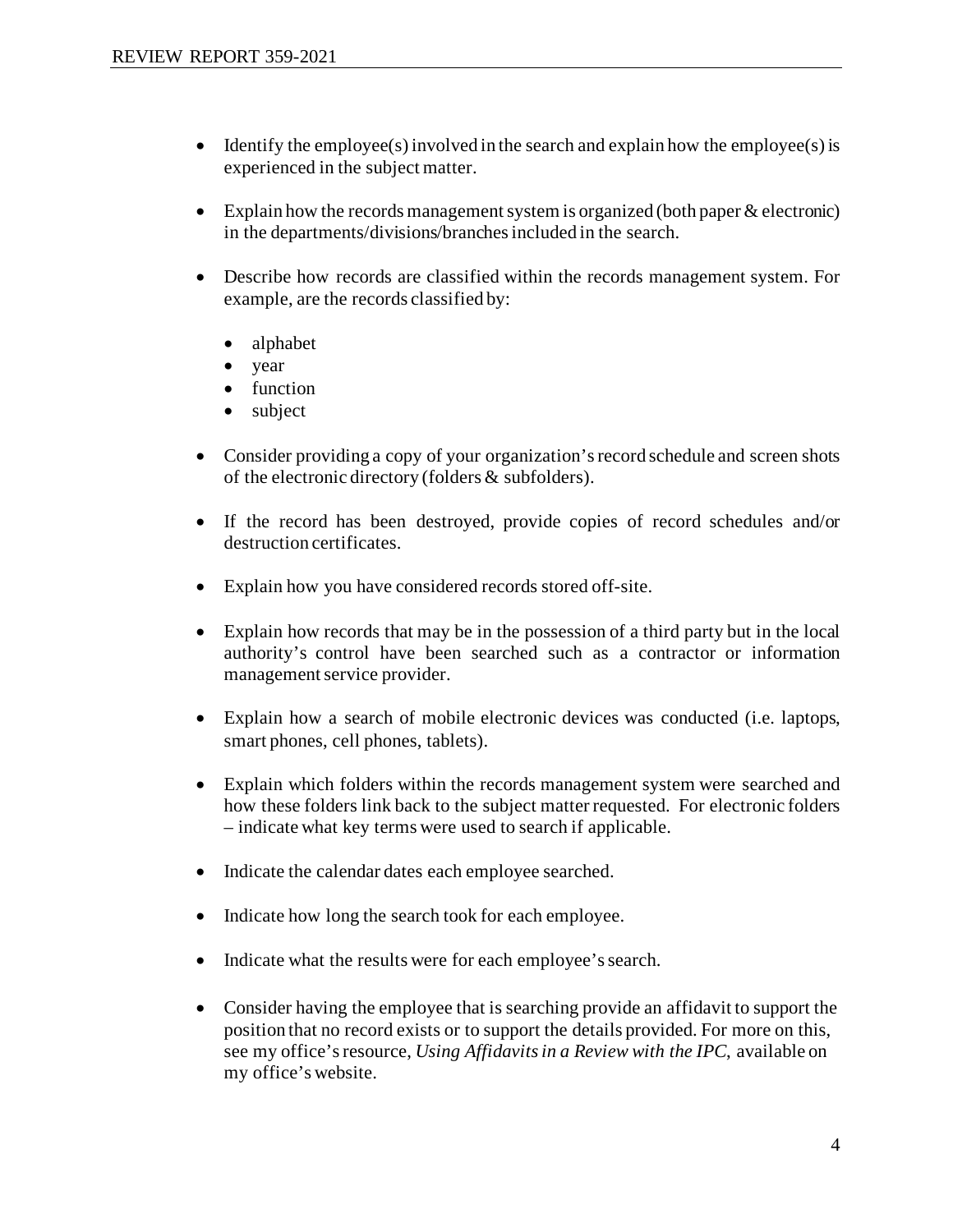- Identify the employee(s) involved in the search and explain how the employee(s) is experienced in the subject matter.
- Explain how the records management system is organized (both paper & electronic) in the departments/divisions/branches included in the search.
- Describe how records are classified within the records management system. For example, are the records classified by:
	- alphabet
	- year
	- function
	- subject
- Consider providing a copy of your organization's record schedule and screen shots of the electronic directory (folders & subfolders).
- If the record has been destroyed, provide copies of record schedules and/or destruction certificates.
- Explain how you have considered records stored off-site.
- Explain how records that may be in the possession of a third party but in the local authority's control have been searched such as a contractor or information management service provider.
- Explain how a search of mobile electronic devices was conducted (i.e. laptops, smart phones, cell phones, tablets).
- Explain which folders within the records management system were searched and how these folders link back to the subject matter requested. For electronic folders – indicate what key terms were used to search if applicable.
- Indicate the calendar dates each employee searched.
- Indicate how long the search took for each employee.
- Indicate what the results were for each employee's search.
- Consider having the employee that is searching provide an affidavit to support the position that no record exists or to support the details provided. For more on this, see my office's resource, *Using Affidavits in a Review with the IPC*, available on my office's website.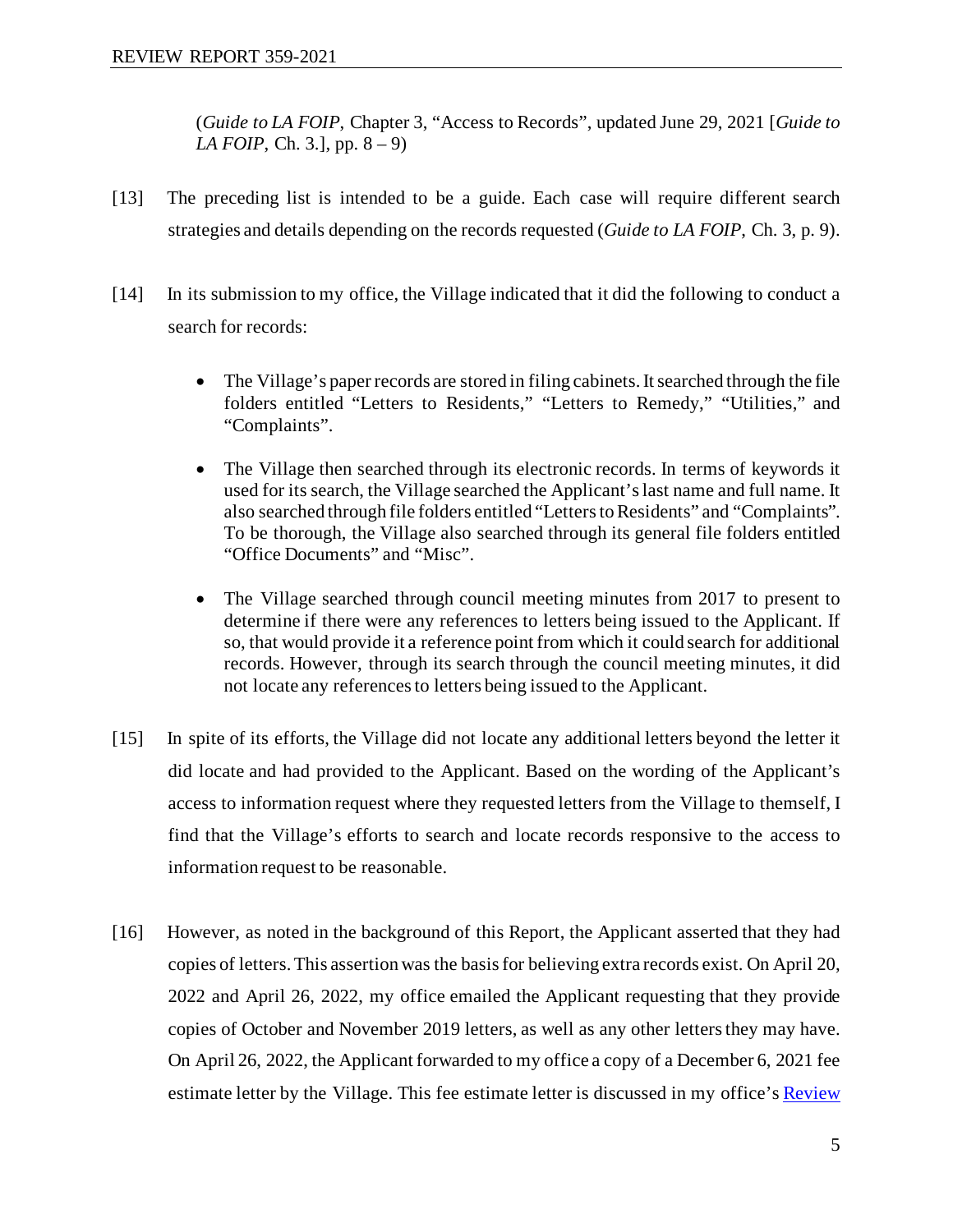(*Guide to LA FOIP*, Chapter 3, "Access to Records", updated June 29, 2021 [*Guide to LA FOIP*, Ch. 3.], pp. 8 – 9)

- [13] The preceding list is intended to be a guide. Each case will require different search strategies and details depending on the records requested (*Guide to LA FOIP*, Ch. 3, p. 9).
- [14] In its submission to my office, the Village indicated that it did the following to conduct a search for records:
	- The Village's paper records are stored in filing cabinets. It searched through the file folders entitled "Letters to Residents," "Letters to Remedy," "Utilities," and "Complaints".
	- The Village then searched through its electronic records. In terms of keywords it used for its search, the Village searched the Applicant's last name and full name. It also searched through file folders entitled "Letters to Residents" and "Complaints". To be thorough, the Village also searched through its general file folders entitled "Office Documents" and "Misc".
	- The Village searched through council meeting minutes from 2017 to present to determine if there were any references to letters being issued to the Applicant. If so, that would provide it a reference point from which it could search for additional records. However, through its search through the council meeting minutes, it did not locate any references to letters being issued to the Applicant.
- [15] In spite of its efforts, the Village did not locate any additional letters beyond the letter it did locate and had provided to the Applicant. Based on the wording of the Applicant's access to information request where they requested letters from the Village to themself, I find that the Village's efforts to search and locate records responsive to the access to information request to be reasonable.
- [16] However, as noted in the background of this Report, the Applicant asserted that they had copies of letters. This assertion was the basis for believing extra records exist. On April 20, 2022 and April 26, 2022, my office emailed the Applicant requesting that they provide copies of October and November 2019 letters, as well as any other letters they may have. On April 26, 2022, the Applicant forwarded to my office a copy of a December 6, 2021 fee estimate letter by the Village. This fee estimate letter is discussed in my office's Review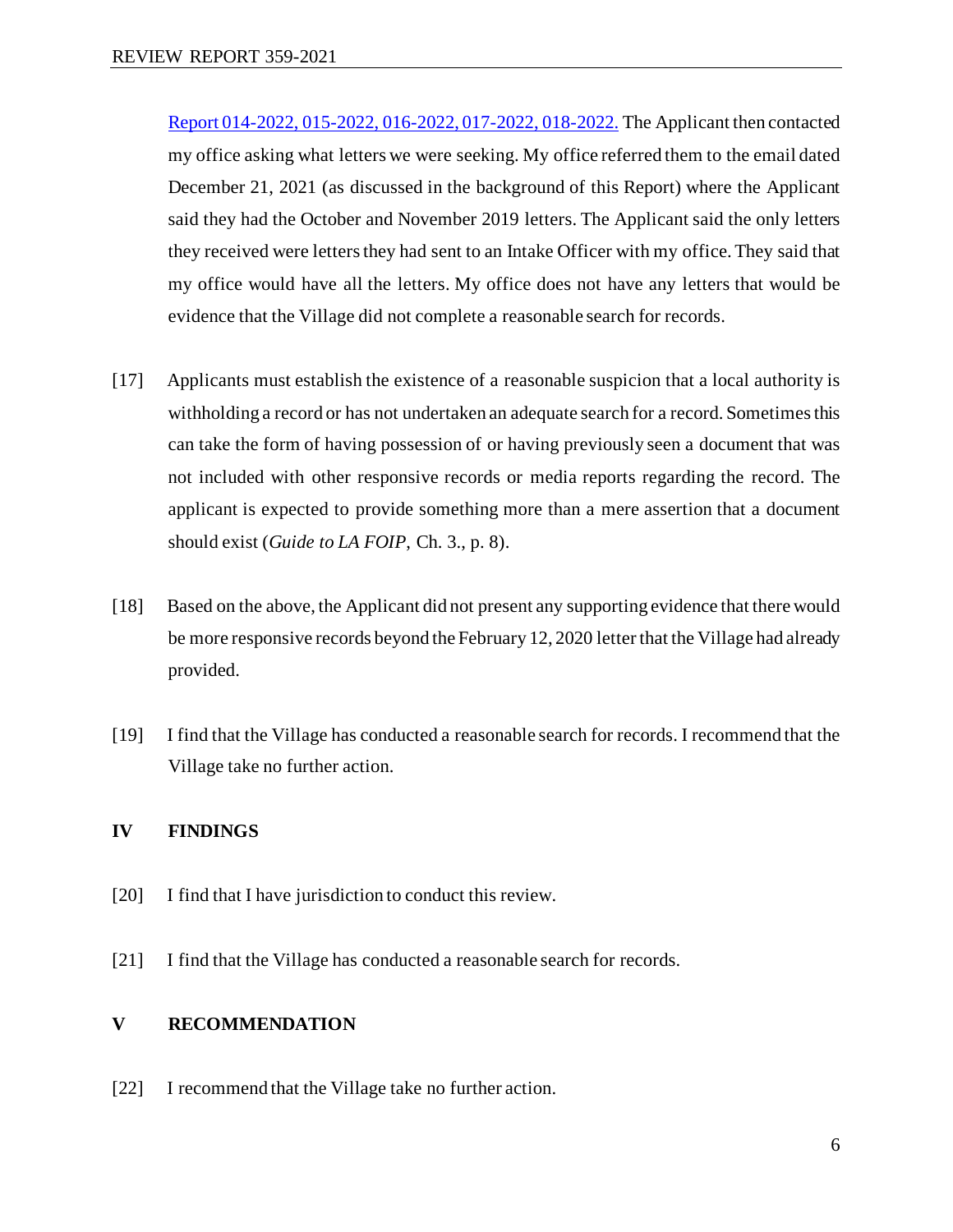[Report 014-2022, 015-2022, 016-2022, 017-2022, 018-2022.](https://oipc.sk.ca/assets/la-foip-review_014-2022-015-2022-016-2022-017-2022-018-2022.pdf) The Applicant then contacted my office asking what letters we were seeking. My office referred them to the email dated December 21, 2021 (as discussed in the background of this Report) where the Applicant said they had the October and November 2019 letters. The Applicant said the only letters they received were letters they had sent to an Intake Officer with my office.They said that my office would have all the letters. My office does not have any letters that would be evidence that the Village did not complete a reasonable search for records.

- [17] Applicants must establish the existence of a reasonable suspicion that a local authority is withholding a record or has not undertaken an adequate search for a record. Sometimes this can take the form of having possession of or having previously seen a document that was not included with other responsive records or media reports regarding the record. The applicant is expected to provide something more than a mere assertion that a document should exist (*Guide to LA FOIP*, Ch. 3., p. 8).
- [18] Based on the above, the Applicant did not present any supporting evidence that there would be more responsive records beyond the February 12, 2020 letter that the Village had already provided.
- [19] I find that the Village has conducted a reasonable search for records. I recommend that the Village take no further action.

### **IV FINDINGS**

- [20] I find that I have jurisdiction to conduct this review.
- [21] I find that the Village has conducted a reasonable search for records.

### **V RECOMMENDATION**

[22] I recommend that the Village take no further action.